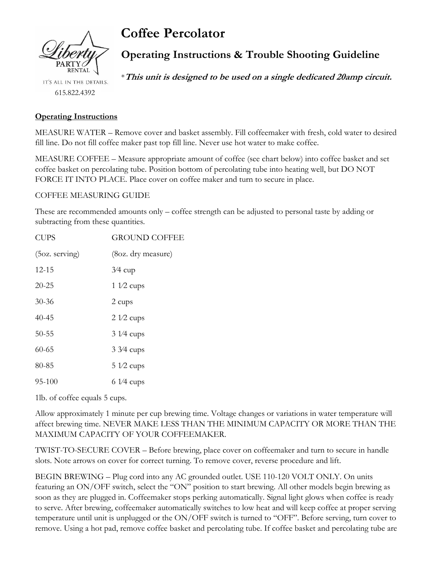

IT'S ALL IN THE DETAILS. 615.822.4392

# **Coffee Percolator**

# **Operating Instructions & Trouble Shooting Guideline**

\***This unit is designed to be used on a single dedicated 20amp circuit.**

## **Operating Instructions**

MEASURE WATER – Remove cover and basket assembly. Fill coffeemaker with fresh, cold water to desired fill line. Do not fill coffee maker past top fill line. Never use hot water to make coffee.

MEASURE COFFEE – Measure appropriate amount of coffee (see chart below) into coffee basket and set coffee basket on percolating tube. Position bottom of percolating tube into heating well, but DO NOT FORCE IT INTO PLACE. Place cover on coffee maker and turn to secure in place.

#### COFFEE MEASURING GUIDE

These are recommended amounts only – coffee strength can be adjusted to personal taste by adding or subtracting from these quantities.

| <b>CUPS</b>      | <b>GROUND COFFEE</b> |
|------------------|----------------------|
| $(5oz.$ serving) | (80z. dry measure)   |
| $12 - 15$        | $3/4$ cup            |
| $20 - 25$        | $1\sqrt{2}$ cups     |
| $30 - 36$        | 2 cups               |
| $40 - 45$        | $2\frac{1}{2}$ cups  |
| $50 - 55$        | $31/4$ cups          |
| $60 - 65$        | $3\frac{3}{4}$ cups  |
| 80-85            | $51/2$ cups          |
| 95-100           | $61/4$ cups          |

1lb. of coffee equals 5 cups.

Allow approximately 1 minute per cup brewing time. Voltage changes or variations in water temperature will affect brewing time. NEVER MAKE LESS THAN THE MINIMUM CAPACITY OR MORE THAN THE MAXIMUM CAPACITY OF YOUR COFFEEMAKER.

TWIST-TO-SECURE COVER – Before brewing, place cover on coffeemaker and turn to secure in handle slots. Note arrows on cover for correct turning. To remove cover, reverse procedure and lift.

BEGIN BREWING – Plug cord into any AC grounded outlet. USE 110-120 VOLT ONLY. On units featuring an ON/OFF switch, select the "ON" position to start brewing. All other models begin brewing as soon as they are plugged in. Coffeemaker stops perking automatically. Signal light glows when coffee is ready to serve. After brewing, coffeemaker automatically switches to low heat and will keep coffee at proper serving temperature until unit is unplugged or the ON/OFF switch is turned to "OFF". Before serving, turn cover to remove. Using a hot pad, remove coffee basket and percolating tube. If coffee basket and percolating tube are